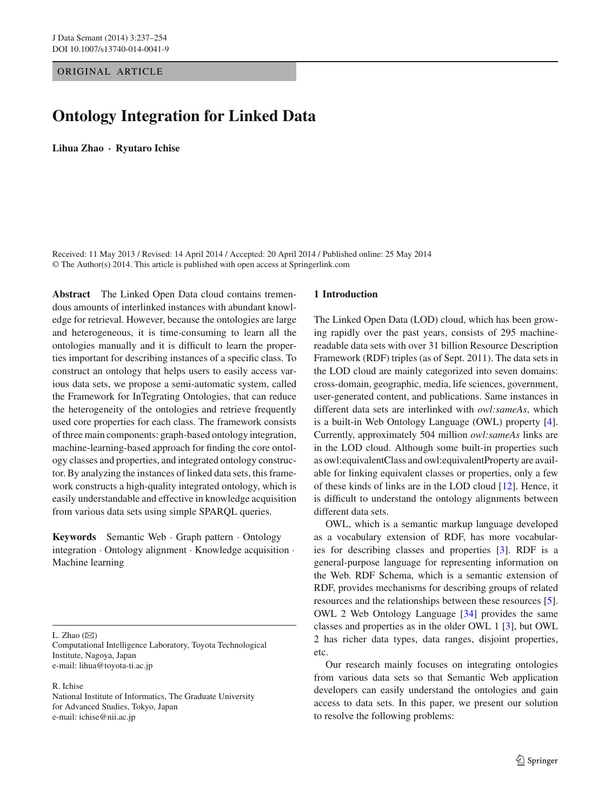ORIGINAL ARTICLE

# **Ontology Integration for Linked Data**

**Lihua Zhao · Ryutaro Ichise**

Received: 11 May 2013 / Revised: 14 April 2014 / Accepted: 20 April 2014 / Published online: 25 May 2014 © The Author(s) 2014. This article is published with open access at Springerlink.com

**Abstract** The Linked Open Data cloud contains tremendous amounts of interlinked instances with abundant knowledge for retrieval. However, because the ontologies are large and heterogeneous, it is time-consuming to learn all the ontologies manually and it is difficult to learn the properties important for describing instances of a specific class. To construct an ontology that helps users to easily access various data sets, we propose a semi-automatic system, called the Framework for InTegrating Ontologies, that can reduce the heterogeneity of the ontologies and retrieve frequently used core properties for each class. The framework consists of three main components: graph-based ontology integration, machine-learning-based approach for finding the core ontology classes and properties, and integrated ontology constructor. By analyzing the instances of linked data sets, this framework constructs a high-quality integrated ontology, which is easily understandable and effective in knowledge acquisition from various data sets using simple SPARQL queries.

**Keywords** Semantic Web · Graph pattern · Ontology integration · Ontology alignment · Knowledge acquisition · Machine learning

L. Zhao  $(\boxtimes)$ 

Computational Intelligence Laboratory, Toyota Technological Institute, Nagoya, Japan e-mail: lihua@toyota-ti.ac.jp

#### R. Ichise

National Institute of Informatics, The Graduate University for Advanced Studies, Tokyo, Japan e-mail: ichise@nii.ac.jp

#### **1 Introduction**

The Linked Open Data (LOD) cloud, which has been growing rapidly over the past years, consists of 295 machinereadable data sets with over 31 billion Resource Description Framework (RDF) triples (as of Sept. 2011). The data sets in the LOD cloud are mainly categorized into seven domains: cross-domain, geographic, media, life sciences, government, user-generated content, and publications. Same instances in different data sets are interlinked with *owl:sameAs*, which is a built-in Web Ontology Language (OWL) property [\[4](#page-17-0)]. Currently, approximately 504 million *owl:sameAs* links are in the LOD cloud. Although some built-in properties such as owl:equivalentClass and owl:equivalentProperty are available for linking equivalent classes or properties, only a few of these kinds of links are in the LOD cloud [\[12\]](#page-17-1). Hence, it is difficult to understand the ontology alignments between different data sets.

OWL, which is a semantic markup language developed as a vocabulary extension of RDF, has more vocabularies for describing classes and properties [\[3](#page-17-2)]. RDF is a general-purpose language for representing information on the Web. RDF Schema, which is a semantic extension of RDF, provides mechanisms for describing groups of related resources and the relationships between these resources [\[5](#page-17-3)]. OWL 2 Web Ontology Language [\[34\]](#page-17-4) provides the same classes and properties as in the older OWL 1 [\[3\]](#page-17-2), but OWL 2 has richer data types, data ranges, disjoint properties, etc.

Our research mainly focuses on integrating ontologies from various data sets so that Semantic Web application developers can easily understand the ontologies and gain access to data sets. In this paper, we present our solution to resolve the following problems: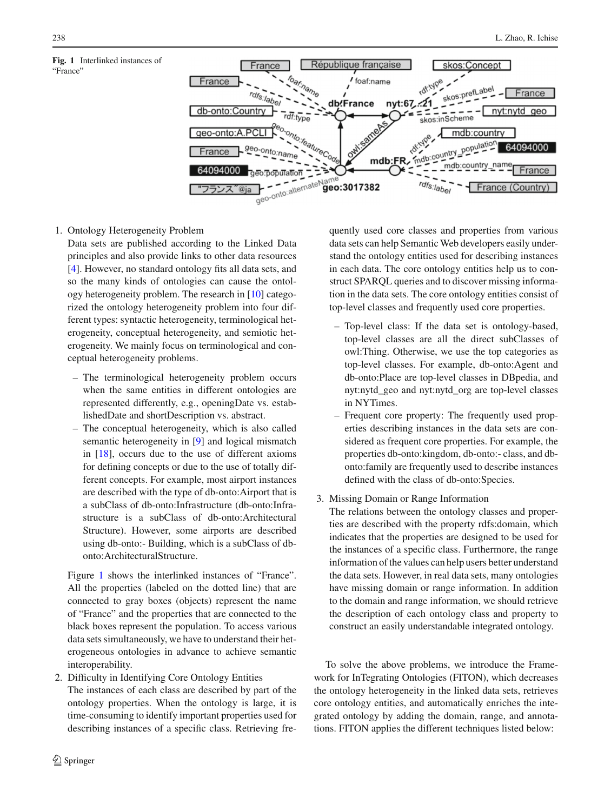<span id="page-1-0"></span>

1. Ontology Heterogeneity Problem

Data sets are published according to the Linked Data principles and also provide links to other data resources [\[4](#page-17-0)]. However, no standard ontology fits all data sets, and so the many kinds of ontologies can cause the ontology heterogeneity problem. The research in [\[10](#page-17-5)] categorized the ontology heterogeneity problem into four different types: syntactic heterogeneity, terminological heterogeneity, conceptual heterogeneity, and semiotic heterogeneity. We mainly focus on terminological and conceptual heterogeneity problems.

- The terminological heterogeneity problem occurs when the same entities in different ontologies are represented differently, e.g., openingDate vs. establishedDate and shortDescription vs. abstract.
- The conceptual heterogeneity, which is also called semantic heterogeneity in [\[9](#page-17-6)] and logical mismatch in [\[18](#page-17-7)], occurs due to the use of different axioms for defining concepts or due to the use of totally different concepts. For example, most airport instances are described with the type of db-onto:Airport that is a subClass of db-onto:Infrastructure (db-onto:Infrastructure is a subClass of db-onto:Architectural Structure). However, some airports are described using db-onto:- Building, which is a subClass of dbonto:ArchitecturalStructure.

Figure [1](#page-1-0) shows the interlinked instances of "France". All the properties (labeled on the dotted line) that are connected to gray boxes (objects) represent the name of "France" and the properties that are connected to the black boxes represent the population. To access various data sets simultaneously, we have to understand their heterogeneous ontologies in advance to achieve semantic interoperability.

2. Difficulty in Identifying Core Ontology Entities The instances of each class are described by part of the ontology properties. When the ontology is large, it is time-consuming to identify important properties used for describing instances of a specific class. Retrieving frequently used core classes and properties from various data sets can help Semantic Web developers easily understand the ontology entities used for describing instances in each data. The core ontology entities help us to construct SPARQL queries and to discover missing information in the data sets. The core ontology entities consist of top-level classes and frequently used core properties.

- Top-level class: If the data set is ontology-based, top-level classes are all the direct subClasses of owl:Thing. Otherwise, we use the top categories as top-level classes. For example, db-onto:Agent and db-onto:Place are top-level classes in DBpedia, and nyt:nytd\_geo and nyt:nytd\_org are top-level classes in NYTimes.
- Frequent core property: The frequently used properties describing instances in the data sets are considered as frequent core properties. For example, the properties db-onto:kingdom, db-onto:- class, and dbonto:family are frequently used to describe instances defined with the class of db-onto:Species.
- 3. Missing Domain or Range Information

The relations between the ontology classes and properties are described with the property rdfs:domain, which indicates that the properties are designed to be used for the instances of a specific class. Furthermore, the range information of the values can help users better understand the data sets. However, in real data sets, many ontologies have missing domain or range information. In addition to the domain and range information, we should retrieve the description of each ontology class and property to construct an easily understandable integrated ontology.

To solve the above problems, we introduce the Framework for InTegrating Ontologies (FITON), which decreases the ontology heterogeneity in the linked data sets, retrieves core ontology entities, and automatically enriches the integrated ontology by adding the domain, range, and annotations. FITON applies the different techniques listed below: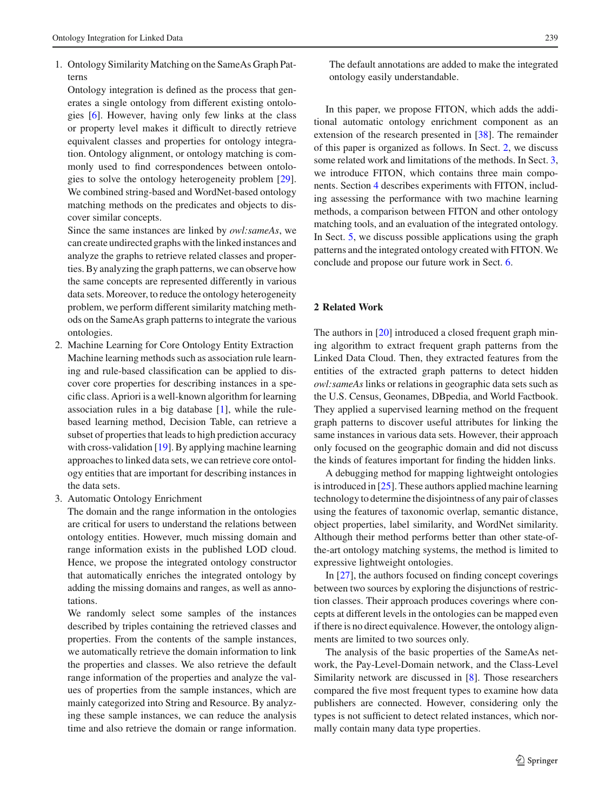1. Ontology Similarity Matching on the SameAs Graph Patterns

Ontology integration is defined as the process that generates a single ontology from different existing ontologies [\[6\]](#page-17-8). However, having only few links at the class or property level makes it difficult to directly retrieve equivalent classes and properties for ontology integration. Ontology alignment, or ontology matching is commonly used to find correspondences between ontologies to solve the ontology heterogeneity problem [\[29](#page-17-9)]. We combined string-based and WordNet-based ontology matching methods on the predicates and objects to discover similar concepts.

Since the same instances are linked by *owl:sameAs*, we can create undirected graphs with the linked instances and analyze the graphs to retrieve related classes and properties. By analyzing the graph patterns, we can observe how the same concepts are represented differently in various data sets. Moreover, to reduce the ontology heterogeneity problem, we perform different similarity matching methods on the SameAs graph patterns to integrate the various ontologies.

- 2. Machine Learning for Core Ontology Entity Extraction Machine learning methods such as association rule learning and rule-based classification can be applied to discover core properties for describing instances in a specific class. Apriori is a well-known algorithm for learning association rules in a big database  $[1]$  $[1]$ , while the rulebased learning method, Decision Table, can retrieve a subset of properties that leads to high prediction accuracy with cross-validation [\[19\]](#page-17-10). By applying machine learning approaches to linked data sets, we can retrieve core ontology entities that are important for describing instances in the data sets.
- 3. Automatic Ontology Enrichment

The domain and the range information in the ontologies are critical for users to understand the relations between ontology entities. However, much missing domain and range information exists in the published LOD cloud. Hence, we propose the integrated ontology constructor that automatically enriches the integrated ontology by adding the missing domains and ranges, as well as annotations.

We randomly select some samples of the instances described by triples containing the retrieved classes and properties. From the contents of the sample instances, we automatically retrieve the domain information to link the properties and classes. We also retrieve the default range information of the properties and analyze the values of properties from the sample instances, which are mainly categorized into String and Resource. By analyzing these sample instances, we can reduce the analysis time and also retrieve the domain or range information. The default annotations are added to make the integrated ontology easily understandable.

In this paper, we propose FITON, which adds the additional automatic ontology enrichment component as an extension of the research presented in [\[38](#page-17-11)]. The remainder of this paper is organized as follows. In Sect. [2,](#page-2-0) we discuss some related work and limitations of the methods. In Sect. [3,](#page-3-0) we introduce FITON, which contains three main components. Section [4](#page-10-0) describes experiments with FITON, including assessing the performance with two machine learning methods, a comparison between FITON and other ontology matching tools, and an evaluation of the integrated ontology. In Sect. [5,](#page-14-0) we discuss possible applications using the graph patterns and the integrated ontology created with FITON. We conclude and propose our future work in Sect. [6.](#page-16-1)

## <span id="page-2-0"></span>**2 Related Work**

The authors in [\[20](#page-17-12)] introduced a closed frequent graph mining algorithm to extract frequent graph patterns from the Linked Data Cloud. Then, they extracted features from the entities of the extracted graph patterns to detect hidden *owl:sameAs* links or relations in geographic data sets such as the U.S. Census, Geonames, DBpedia, and World Factbook. They applied a supervised learning method on the frequent graph patterns to discover useful attributes for linking the same instances in various data sets. However, their approach only focused on the geographic domain and did not discuss the kinds of features important for finding the hidden links.

A debugging method for mapping lightweight ontologies is introduced in [\[25](#page-17-13)]. These authors applied machine learning technology to determine the disjointness of any pair of classes using the features of taxonomic overlap, semantic distance, object properties, label similarity, and WordNet similarity. Although their method performs better than other state-ofthe-art ontology matching systems, the method is limited to expressive lightweight ontologies.

In [\[27](#page-17-14)], the authors focused on finding concept coverings between two sources by exploring the disjunctions of restriction classes. Their approach produces coverings where concepts at different levels in the ontologies can be mapped even if there is no direct equivalence. However, the ontology alignments are limited to two sources only.

The analysis of the basic properties of the SameAs network, the Pay-Level-Domain network, and the Class-Level Similarity network are discussed in [\[8](#page-17-15)]. Those researchers compared the five most frequent types to examine how data publishers are connected. However, considering only the types is not sufficient to detect related instances, which normally contain many data type properties.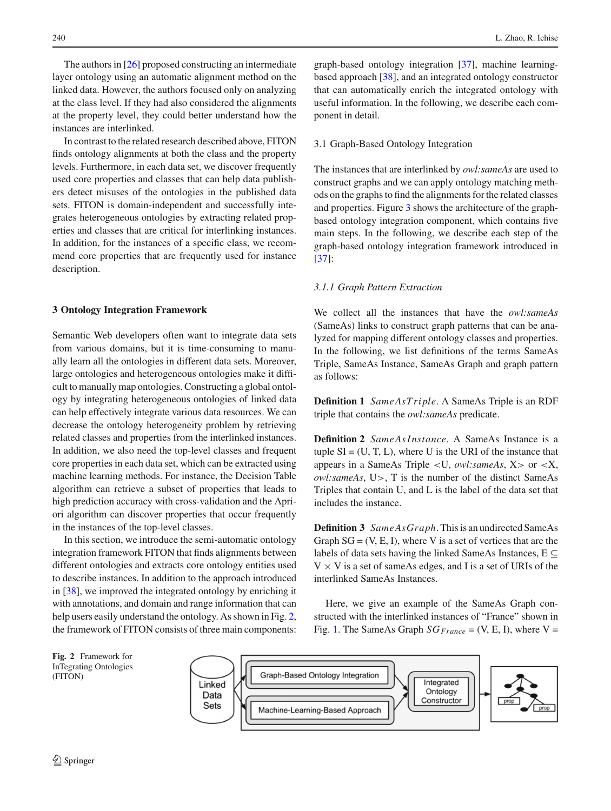The authors in [\[26\]](#page-17-16) proposed constructing an intermediate layer ontology using an automatic alignment method on the linked data. However, the authors focused only on analyzing at the class level. If they had also considered the alignments at the property level, they could better understand how the instances are interlinked.

In contrast to the related research described above, FITON finds ontology alignments at both the class and the property levels. Furthermore, in each data set, we discover frequently used core properties and classes that can help data publishers detect misuses of the ontologies in the published data sets. FITON is domain-independent and successfully integrates heterogeneous ontologies by extracting related properties and classes that are critical for interlinking instances. In addition, for the instances of a specific class, we recommend core properties that are frequently used for instance description.

#### <span id="page-3-0"></span>**3 Ontology Integration Framework**

Semantic Web developers often want to integrate data sets from various domains, but it is time-consuming to manually learn all the ontologies in different data sets. Moreover, large ontologies and heterogeneous ontologies make it difficult to manually map ontologies. Constructing a global ontology by integrating heterogeneous ontologies of linked data can help effectively integrate various data resources. We can decrease the ontology heterogeneity problem by retrieving related classes and properties from the interlinked instances. In addition, we also need the top-level classes and frequent core properties in each data set, which can be extracted using machine learning methods. For instance, the Decision Table algorithm can retrieve a subset of properties that leads to high prediction accuracy with cross-validation and the Apriori algorithm can discover properties that occur frequently in the instances of the top-level classes.

In this section, we introduce the semi-automatic ontology integration framework FITON that finds alignments between different ontologies and extracts core ontology entities used to describe instances. In addition to the approach introduced in [\[38](#page-17-11)], we improved the integrated ontology by enriching it with annotations, and domain and range information that can help users easily understand the ontology. As shown in Fig. [2,](#page-3-1) the framework of FITON consists of three main components: graph-based ontology integration [\[37\]](#page-17-17), machine learningbased approach [\[38](#page-17-11)], and an integrated ontology constructor that can automatically enrich the integrated ontology with useful information. In the following, we describe each component in detail.

## 3.1 Graph-Based Ontology Integration

The instances that are interlinked by *owl:sameAs* are used to construct graphs and we can apply ontology matching methods on the graphs to find the alignments for the related classes and properties. Figure [3](#page-4-0) shows the architecture of the graphbased ontology integration component, which contains five main steps. In the following, we describe each step of the graph-based ontology integration framework introduced in [\[37](#page-17-17)]:

#### *3.1.1 Graph Pattern Extraction*

We collect all the instances that have the *owl:sameAs* (SameAs) links to construct graph patterns that can be analyzed for mapping different ontology classes and properties. In the following, we list definitions of the terms SameAs Triple, SameAs Instance, SameAs Graph and graph pattern as follows:

**Definition 1** *SameAsTriple*. A SameAs Triple is an RDF triple that contains the *owl:sameAs* predicate.

**Definition 2** *SameAsInstance*. A SameAs Instance is a tuple  $SI = (U, T, L)$ , where U is the URI of the instance that appears in a SameAs Triple <U, *owl:sameAs*, X> or <X, *owl:sameAs*, U>, T is the number of the distinct SameAs Triples that contain U, and L is the label of the data set that includes the instance.

**Definition 3** *SameAsGraph*. This is an undirected SameAs Graph  $SG = (V, E, I)$ , where V is a set of vertices that are the labels of data sets having the linked SameAs Instances,  $E \subseteq$  $V \times V$  is a set of same As edges, and I is a set of URIs of the interlinked SameAs Instances.

Here, we give an example of the SameAs Graph constructed with the interlinked instances of "France" shown in Fig. [1.](#page-1-0) The SameAs Graph  $SG_{France} = (V, E, I)$ , where  $V =$ 

<span id="page-3-1"></span>

(FITON)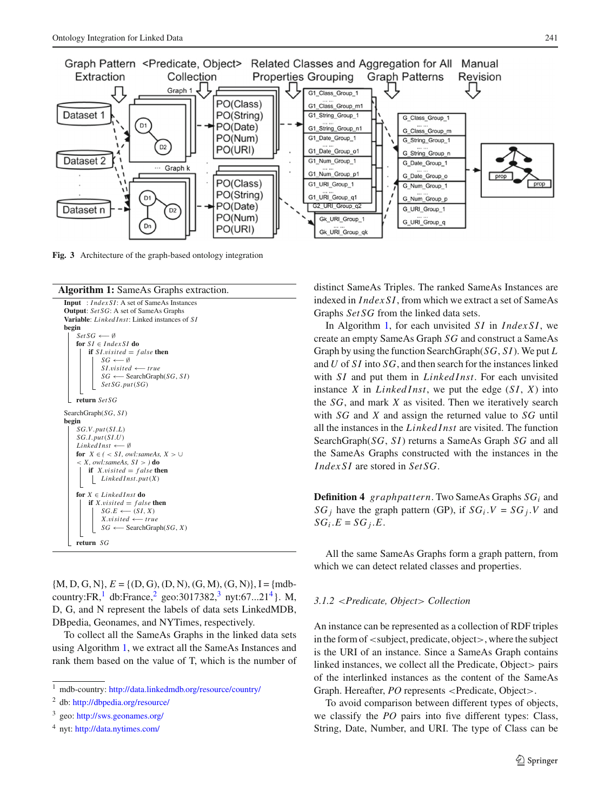

<span id="page-4-0"></span>**Fig. 3** Architecture of the graph-based ontology integration





 $\{M, D, G, N\}, E = \{ (D, G), (D, N), (G, M), (G, N) \}, I = \{ \text{mdb-} \}$ country:FR,<sup>[1](#page-4-1)</sup> db:France,<sup>[2](#page-4-2)</sup> geo:[3](#page-4-3)017382,<sup>3</sup> nyt:67...21<sup>4</sup>}. M, D, G, and N represent the labels of data sets LinkedMDB, DBpedia, Geonames, and NYTimes, respectively.

<span id="page-4-5"></span>To collect all the SameAs Graphs in the linked data sets using Algorithm [1,](#page-4-5) we extract all the SameAs Instances and rank them based on the value of T, which is the number of distinct SameAs Triples. The ranked SameAs Instances are indexed in *IndexSI*, from which we extract a set of SameAs Graphs *SetSG* from the linked data sets.

In Algorithm [1,](#page-4-5) for each unvisited *SI* in *IndexSI*, we create an empty SameAs Graph *SG* and construct a SameAs Graph by using the function SearchGraph(*SG*, *SI*). We put *L* and *U* of *SI* into *SG*, and then search for the instances linked with *SI* and put them in *Linked Inst*. For each unvisited instance *X* in *Linked Inst*, we put the edge (*SI*, *X*) into the *SG*, and mark *X* as visited. Then we iteratively search with *SG* and *X* and assign the returned value to *SG* until all the instances in the *Linked Inst* are visited. The function SearchGraph(*SG*, *SI*) returns a SameAs Graph *SG* and all the SameAs Graphs constructed with the instances in the *IndexSI* are stored in *SetSG*.

**Definition 4** *graphpattern*. Two SameAs Graphs *SGi* and *SG<sub>i</sub>* have the graph pattern (GP), if  $SG_i$   $V = SG_j$   $V$  and  $SG_i.E = SG_i.E$ .

All the same SameAs Graphs form a graph pattern, from which we can detect related classes and properties.

## *3.1.2* <*Predicate, Object*> *Collection*

An instance can be represented as a collection of RDF triples in the form of <subject, predicate, object>, where the subject is the URI of an instance. Since a SameAs Graph contains linked instances, we collect all the Predicate, Object pairs of the interlinked instances as the content of the SameAs Graph. Hereafter, *PO* represents <Predicate, Object>.

To avoid comparison between different types of objects, we classify the *PO* pairs into five different types: Class, String, Date, Number, and URI. The type of Class can be

<sup>&</sup>lt;sup>1</sup> mdb-country: <http://data.linkedmdb.org/resource/country/>

<span id="page-4-1"></span><sup>2</sup> db: <http://dbpedia.org/resource/>

<span id="page-4-2"></span><sup>3</sup> geo: <http://sws.geonames.org/>

<span id="page-4-4"></span><span id="page-4-3"></span><sup>4</sup> nyt: <http://data.nytimes.com/>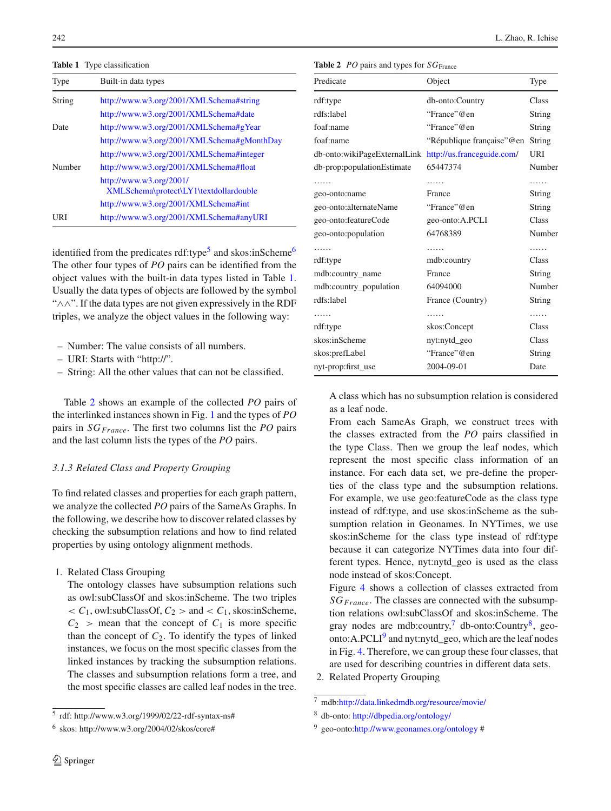**Table 1** Type classification

<span id="page-5-2"></span>

| Type   | Built-in data types                                               |
|--------|-------------------------------------------------------------------|
| String | http://www.w3.org/2001/XMLSchema#string                           |
|        | http://www.w3.org/2001/XMLSchema#date                             |
| Date   | http://www.w3.org/2001/XMLSchema#gYear                            |
|        | http://www.w3.org/2001/XMLSchema#gMonthDay                        |
|        | http://www.w3.org/2001/XMLSchema#integer                          |
| Number | http://www.w3.org/2001/XMLSchema#float                            |
|        | http://www.w3.org/2001/<br>XMLSchema\protect\LY1\textdollardouble |
|        | http://www.w3.org/2001/XMLSchema#int                              |
| URI    | http://www.w3.org/2001/XMLSchema#anyURI                           |

identified from the predicates  $\text{rdf:type}^5$  $\text{rdf:type}^5$  and skos:inScheme<sup>6</sup> The other four types of *PO* pairs can be identified from the object values with the built-in data types listed in Table [1.](#page-5-2) Usually the data types of objects are followed by the symbol "∧∧". If the data types are not given expressively in the RDF triples, we analyze the object values in the following way:

- Number: The value consists of all numbers.
- URI: Starts with "http://".
- String: All the other values that can not be classified.

Table [2](#page-5-3) shows an example of the collected *PO* pairs of the interlinked instances shown in Fig. [1](#page-1-0) and the types of *PO* pairs in *SG<sub>France</sub>*. The first two columns list the *PO* pairs and the last column lists the types of the *PO* pairs.

## *3.1.3 Related Class and Property Grouping*

To find related classes and properties for each graph pattern, we analyze the collected *PO* pairs of the SameAs Graphs. In the following, we describe how to discover related classes by checking the subsumption relations and how to find related properties by using ontology alignment methods.

1. Related Class Grouping

The ontology classes have subsumption relations such as owl:subClassOf and skos:inScheme. The two triples  $\langle C_1, \text{owl:subClassOf}, C_2 \rangle$  and  $\langle C_1, \text{skos:inScheme},$  $C_2$  > mean that the concept of  $C_1$  is more specific than the concept of  $C_2$ . To identify the types of linked instances, we focus on the most specific classes from the linked instances by tracking the subsumption relations. The classes and subsumption relations form a tree, and the most specific classes are called leaf nodes in the tree.

<span id="page-5-3"></span>**Table 2** *PO* pairs and types for *SG*<sub>France</sub>

| Predicate                                               | Object                      | Type   |
|---------------------------------------------------------|-----------------------------|--------|
| rdf:type                                                | db-onto:Country             | Class  |
| rdfs:label                                              | "France"@en                 | String |
| foaf:name                                               | "France"@en                 | String |
| foaf:name                                               | "République française" @ en | String |
| db-onto:wikiPageExternalLink http://us.franceguide.com/ |                             | URI    |
| db-prop:populationEstimate                              | 65447374                    | Number |
| .                                                       |                             | .      |
| geo-onto:name                                           | France                      | String |
| geo-onto:alternateName                                  | "France"@en                 | String |
| geo-onto:featureCode                                    | geo-onto:A.PCLI             | Class  |
| geo-onto:population                                     | 64768389                    | Number |
| .                                                       | .                           | .      |
| rdf:type                                                | mdb:country                 | Class  |
| mdb:country_name                                        | France                      | String |
| mdb:country_population                                  | 64094000                    | Number |
| rdfs:label                                              | France (Country)            | String |
| .                                                       | .                           | .      |
| rdf:type                                                | skos:Concept                | Class  |
| skos:inScheme                                           | nyt:nytd_geo                | Class  |
| skos:prefLabel                                          | "France"@en                 | String |
| nyt-prop:first_use                                      | 2004-09-01                  | Date   |

A class which has no subsumption relation is considered as a leaf node.

From each SameAs Graph, we construct trees with the classes extracted from the *PO* pairs classified in the type Class. Then we group the leaf nodes, which represent the most specific class information of an instance. For each data set, we pre-define the properties of the class type and the subsumption relations. For example, we use geo:featureCode as the class type instead of rdf:type, and use skos:inScheme as the subsumption relation in Geonames. In NYTimes, we use skos:inScheme for the class type instead of rdf:type because it can categorize NYTimes data into four different types. Hence, nyt:nytd\_geo is used as the class node instead of skos:Concept.

Figure [4](#page-6-0) shows a collection of classes extracted from *SGFrance*. The classes are connected with the subsumption relations owl:subClassOf and skos:inScheme. The gray nodes are mdb:country, $\frac{7}{7}$  db-onto:Country $\frac{8}{7}$ , geo-onto: A.PCLI<sup>[9](#page-5-6)</sup> and nyt:nytd\_geo, which are the leaf nodes in Fig. [4.](#page-6-0) Therefore, we can group these four classes, that are used for describing countries in different data sets.

2. Related Property Grouping

<sup>5</sup> rdf: http://www.w3.org/1999/02/22-rdf-syntax-ns#

<span id="page-5-1"></span><span id="page-5-0"></span> $6$  skos: http://www.w3.org/2004/02/skos/core#

<sup>7</sup> mdb[:http://data.linkedmdb.org/resource/movie/](http://data.linkedmdb.org/resource/movie/)

<span id="page-5-4"></span><sup>8</sup> db-onto: <http://dbpedia.org/ontology/>

<span id="page-5-6"></span><span id="page-5-5"></span> $9 \text{ geo-onto:} \frac{\text{http://www.geonames.org/ontology #}}{}$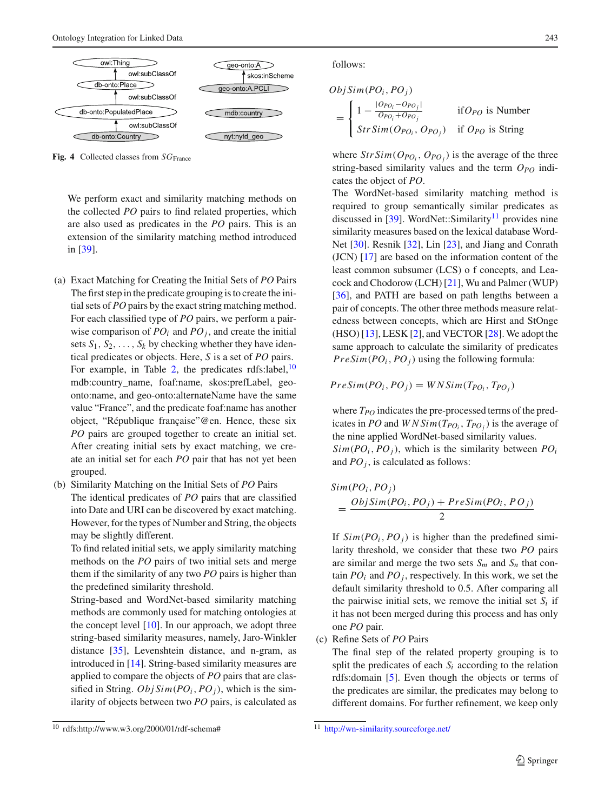

<span id="page-6-0"></span>Fig. 4 Collected classes from *SG*<sub>France</sub>

We perform exact and similarity matching methods on the collected *PO* pairs to find related properties, which are also used as predicates in the *PO* pairs. This is an extension of the similarity matching method introduced in [\[39\]](#page-17-18).

- (a) Exact Matching for Creating the Initial Sets of *PO* Pairs The first step in the predicate grouping is to create the initial sets of *PO* pairs by the exact string matching method. For each classified type of *PO* pairs, we perform a pairwise comparison of  $PO_i$  and  $PO_j$ , and create the initial sets  $S_1, S_2, \ldots, S_k$  by checking whether they have identical predicates or objects. Here, *S* is a set of *PO* pairs. For example, in Table [2,](#page-5-3) the predicates rdfs:label, $10$ mdb:country\_name, foaf:name, skos:prefLabel, geoonto:name, and geo-onto:alternateName have the same value "France", and the predicate foaf:name has another object, "République française"@en. Hence, these six *PO* pairs are grouped together to create an initial set. After creating initial sets by exact matching, we create an initial set for each *PO* pair that has not yet been grouped.
- (b) Similarity Matching on the Initial Sets of *PO* Pairs The identical predicates of *PO* pairs that are classified into Date and URI can be discovered by exact matching. However, for the types of Number and String, the objects may be slightly different.

To find related initial sets, we apply similarity matching methods on the *PO* pairs of two initial sets and merge them if the similarity of any two *PO* pairs is higher than the predefined similarity threshold.

String-based and WordNet-based similarity matching methods are commonly used for matching ontologies at the concept level  $[10]$ . In our approach, we adopt three string-based similarity measures, namely, Jaro-Winkler distance [\[35](#page-17-19)], Levenshtein distance, and n-gram, as introduced in [\[14\]](#page-17-20). String-based similarity measures are applied to compare the objects of *PO* pairs that are classified in String.  $ObjSim(PO_i, PO_j)$ , which is the similarity of objects between two *PO* pairs, is calculated as follows:

$$
ObjSim(PO_i, PO_j)
$$
  
= 
$$
\begin{cases} 1 - \frac{|O_{PO_i} - O_{PO_j}|}{O_{PO_i} + O_{PO_j}} & \text{if } O_{PO} \text{ is Number} \\ StrSim(O_{PO_i}, O_{PO_j}) & \text{if } O_{PO} \text{ is String} \end{cases}
$$

where  $StrSim(O_{PO_i}, O_{PO_j})$  is the average of the three string-based similarity values and the term  $O_{PO}$  indicates the object of *PO*.

The WordNet-based similarity matching method is required to group semantically similar predicates as discussed in [\[39\]](#page-17-18). WordNet::Similarity<sup>11</sup> provides nine similarity measures based on the lexical database Word-Net [\[30\]](#page-17-21). Resnik [\[32\]](#page-17-22), Lin [\[23](#page-17-23)], and Jiang and Conrath (JCN) [\[17\]](#page-17-24) are based on the information content of the least common subsumer (LCS) o f concepts, and Leacock and Chodorow (LCH) [\[21](#page-17-25)], Wu and Palmer (WUP) [\[36](#page-17-26)], and PATH are based on path lengths between a pair of concepts. The other three methods measure relatedness between concepts, which are Hirst and StOnge (HSO) [\[13\]](#page-17-27), LESK [\[2\]](#page-17-28), and VECTOR [\[28](#page-17-29)]. We adopt the same approach to calculate the similarity of predicates  $PreSim(PO<sub>i</sub>, PO<sub>j</sub>)$  using the following formula:

$$
PreSim(PO_i, PO_j) = WNSim(T_{PO_i}, T_{PO_j})
$$

where  $T_{PO}$  indicates the pre-processed terms of the predicates in *PO* and  $W N Sim(T_{PO_i}, T_{PO_i})$  is the average of the nine applied WordNet-based similarity values.  $Sim(PO<sub>i</sub>, PO<sub>j</sub>)$ , which is the similarity between  $PO<sub>i</sub>$ and  $PO<sub>j</sub>$ , is calculated as follows:

$$
Sim(POi, POj)
$$
  
= 
$$
\frac{ObjSim(POi, POj) + PreSim(POi, POj)}{2}
$$

If  $Sim(PO<sub>i</sub>, PO<sub>j</sub>)$  is higher than the predefined similarity threshold, we consider that these two *PO* pairs are similar and merge the two sets  $S_m$  and  $S_n$  that contain  $PO_i$  and  $PO_j$ , respectively. In this work, we set the default similarity threshold to 0.5. After comparing all the pairwise initial sets, we remove the initial set  $S_i$  if it has not been merged during this process and has only one *PO* pair.

(c) Refine Sets of *PO* Pairs

The final step of the related property grouping is to split the predicates of each  $S_i$  according to the relation rdfs:domain [\[5](#page-17-3)]. Even though the objects or terms of the predicates are similar, the predicates may belong to different domains. For further refinement, we keep only

<span id="page-6-1"></span> $10$  rdfs:http://www.w3.org/2000/01/rdf-schema#

<span id="page-6-2"></span><sup>11</sup> <http://wn-similarity.sourceforge.net/>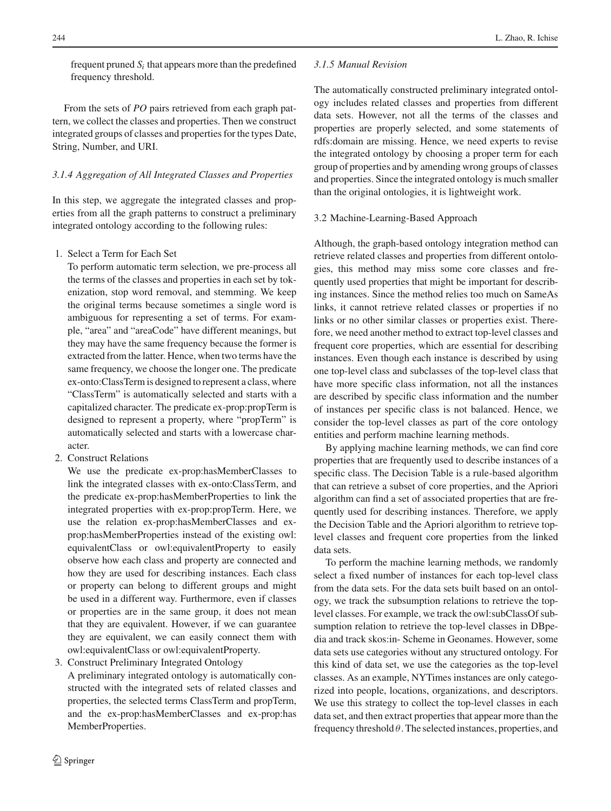frequent pruned  $S_i$  that appears more than the predefined frequency threshold.

From the sets of *PO* pairs retrieved from each graph pattern, we collect the classes and properties. Then we construct integrated groups of classes and properties for the types Date, String, Number, and URI.

## *3.1.4 Aggregation of All Integrated Classes and Properties*

In this step, we aggregate the integrated classes and properties from all the graph patterns to construct a preliminary integrated ontology according to the following rules:

1. Select a Term for Each Set

To perform automatic term selection, we pre-process all the terms of the classes and properties in each set by tokenization, stop word removal, and stemming. We keep the original terms because sometimes a single word is ambiguous for representing a set of terms. For example, "area" and "areaCode" have different meanings, but they may have the same frequency because the former is extracted from the latter. Hence, when two terms have the same frequency, we choose the longer one. The predicate ex-onto:ClassTerm is designed to represent a class, where "ClassTerm" is automatically selected and starts with a capitalized character. The predicate ex-prop:propTerm is designed to represent a property, where "propTerm" is automatically selected and starts with a lowercase character.

2. Construct Relations

We use the predicate ex-prop:hasMemberClasses to link the integrated classes with ex-onto:ClassTerm, and the predicate ex-prop:hasMemberProperties to link the integrated properties with ex-prop:propTerm. Here, we use the relation ex-prop:hasMemberClasses and exprop:hasMemberProperties instead of the existing owl: equivalentClass or owl:equivalentProperty to easily observe how each class and property are connected and how they are used for describing instances. Each class or property can belong to different groups and might be used in a different way. Furthermore, even if classes or properties are in the same group, it does not mean that they are equivalent. However, if we can guarantee they are equivalent, we can easily connect them with owl:equivalentClass or owl:equivalentProperty.

3. Construct Preliminary Integrated Ontology

A preliminary integrated ontology is automatically constructed with the integrated sets of related classes and properties, the selected terms ClassTerm and propTerm, and the ex-prop:hasMemberClasses and ex-prop:has MemberProperties.

## *3.1.5 Manual Revision*

The automatically constructed preliminary integrated ontology includes related classes and properties from different data sets. However, not all the terms of the classes and properties are properly selected, and some statements of rdfs:domain are missing. Hence, we need experts to revise the integrated ontology by choosing a proper term for each group of properties and by amending wrong groups of classes and properties. Since the integrated ontology is much smaller than the original ontologies, it is lightweight work.

# 3.2 Machine-Learning-Based Approach

Although, the graph-based ontology integration method can retrieve related classes and properties from different ontologies, this method may miss some core classes and frequently used properties that might be important for describing instances. Since the method relies too much on SameAs links, it cannot retrieve related classes or properties if no links or no other similar classes or properties exist. Therefore, we need another method to extract top-level classes and frequent core properties, which are essential for describing instances. Even though each instance is described by using one top-level class and subclasses of the top-level class that have more specific class information, not all the instances are described by specific class information and the number of instances per specific class is not balanced. Hence, we consider the top-level classes as part of the core ontology entities and perform machine learning methods.

By applying machine learning methods, we can find core properties that are frequently used to describe instances of a specific class. The Decision Table is a rule-based algorithm that can retrieve a subset of core properties, and the Apriori algorithm can find a set of associated properties that are frequently used for describing instances. Therefore, we apply the Decision Table and the Apriori algorithm to retrieve toplevel classes and frequent core properties from the linked data sets.

To perform the machine learning methods, we randomly select a fixed number of instances for each top-level class from the data sets. For the data sets built based on an ontology, we track the subsumption relations to retrieve the toplevel classes. For example, we track the owl:subClassOf subsumption relation to retrieve the top-level classes in DBpedia and track skos:in- Scheme in Geonames. However, some data sets use categories without any structured ontology. For this kind of data set, we use the categories as the top-level classes. As an example, NYTimes instances are only categorized into people, locations, organizations, and descriptors. We use this strategy to collect the top-level classes in each data set, and then extract properties that appear more than the frequency threshold  $\theta$ . The selected instances, properties, and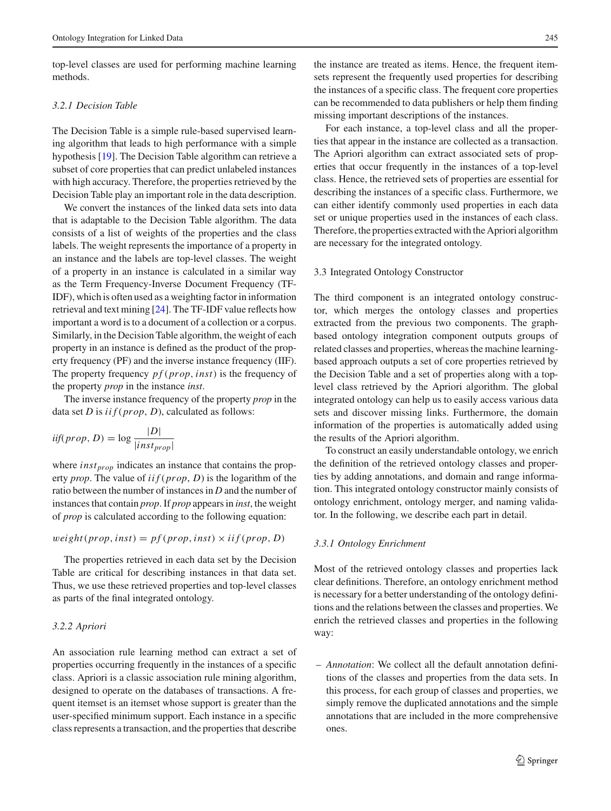top-level classes are used for performing machine learning methods.

## *3.2.1 Decision Table*

The Decision Table is a simple rule-based supervised learning algorithm that leads to high performance with a simple hypothesis [\[19\]](#page-17-10). The Decision Table algorithm can retrieve a subset of core properties that can predict unlabeled instances with high accuracy. Therefore, the properties retrieved by the Decision Table play an important role in the data description.

We convert the instances of the linked data sets into data that is adaptable to the Decision Table algorithm. The data consists of a list of weights of the properties and the class labels. The weight represents the importance of a property in an instance and the labels are top-level classes. The weight of a property in an instance is calculated in a similar way as the Term Frequency-Inverse Document Frequency (TF-IDF), which is often used as a weighting factor in information retrieval and text mining [\[24](#page-17-30)]. The TF-IDF value reflects how important a word is to a document of a collection or a corpus. Similarly, in the Decision Table algorithm, the weight of each property in an instance is defined as the product of the property frequency (PF) and the inverse instance frequency (IIF). The property frequency *p f* (*prop*,*inst*) is the frequency of the property *prop* in the instance *inst*.

The inverse instance frequency of the property *prop* in the data set *D* is *iif* (*prop*, *D*), calculated as follows:

$$
iif (prop, D) = \log \frac{|D|}{|inst_{prop}|}
$$

where *inst<sub>prop</sub>* indicates an instance that contains the property *prop*. The value of *iif* (*prop*, *D*) is the logarithm of the ratio between the number of instances in *D* and the number of instances that contain *prop*. If *prop* appears in *inst*, the weight of *prop* is calculated according to the following equation:

$$
weight(prop, inst) = pf(prop, inst) \times if (prop, D)
$$

The properties retrieved in each data set by the Decision Table are critical for describing instances in that data set. Thus, we use these retrieved properties and top-level classes as parts of the final integrated ontology.

#### *3.2.2 Apriori*

An association rule learning method can extract a set of properties occurring frequently in the instances of a specific class. Apriori is a classic association rule mining algorithm, designed to operate on the databases of transactions. A frequent itemset is an itemset whose support is greater than the user-specified minimum support. Each instance in a specific class represents a transaction, and the properties that describe the instance are treated as items. Hence, the frequent itemsets represent the frequently used properties for describing the instances of a specific class. The frequent core properties can be recommended to data publishers or help them finding missing important descriptions of the instances.

For each instance, a top-level class and all the properties that appear in the instance are collected as a transaction. The Apriori algorithm can extract associated sets of properties that occur frequently in the instances of a top-level class. Hence, the retrieved sets of properties are essential for describing the instances of a specific class. Furthermore, we can either identify commonly used properties in each data set or unique properties used in the instances of each class. Therefore, the properties extracted with the Apriori algorithm are necessary for the integrated ontology.

#### 3.3 Integrated Ontology Constructor

The third component is an integrated ontology constructor, which merges the ontology classes and properties extracted from the previous two components. The graphbased ontology integration component outputs groups of related classes and properties, whereas the machine learningbased approach outputs a set of core properties retrieved by the Decision Table and a set of properties along with a toplevel class retrieved by the Apriori algorithm. The global integrated ontology can help us to easily access various data sets and discover missing links. Furthermore, the domain information of the properties is automatically added using the results of the Apriori algorithm.

To construct an easily understandable ontology, we enrich the definition of the retrieved ontology classes and properties by adding annotations, and domain and range information. This integrated ontology constructor mainly consists of ontology enrichment, ontology merger, and naming validator. In the following, we describe each part in detail.

#### *3.3.1 Ontology Enrichment*

Most of the retrieved ontology classes and properties lack clear definitions. Therefore, an ontology enrichment method is necessary for a better understanding of the ontology definitions and the relations between the classes and properties. We enrich the retrieved classes and properties in the following way:

– *Annotation*: We collect all the default annotation definitions of the classes and properties from the data sets. In this process, for each group of classes and properties, we simply remove the duplicated annotations and the simple annotations that are included in the more comprehensive ones.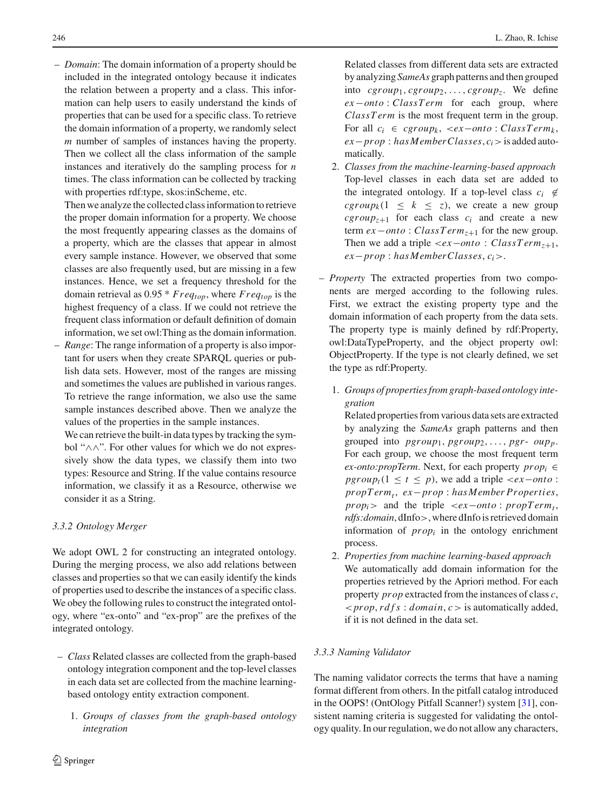– *Domain*: The domain information of a property should be included in the integrated ontology because it indicates the relation between a property and a class. This information can help users to easily understand the kinds of properties that can be used for a specific class. To retrieve the domain information of a property, we randomly select *m* number of samples of instances having the property. Then we collect all the class information of the sample instances and iteratively do the sampling process for *n* times. The class information can be collected by tracking with properties rdf:type, skos:inScheme, etc.

Then we analyze the collected class information to retrieve the proper domain information for a property. We choose the most frequently appearing classes as the domains of a property, which are the classes that appear in almost every sample instance. However, we observed that some classes are also frequently used, but are missing in a few instances. Hence, we set a frequency threshold for the domain retrieval as 0.95 \* *Freqtop*, where *Freqtop* is the highest frequency of a class. If we could not retrieve the frequent class information or default definition of domain information, we set owl:Thing as the domain information.

– *Range*: The range information of a property is also important for users when they create SPARQL queries or publish data sets. However, most of the ranges are missing and sometimes the values are published in various ranges. To retrieve the range information, we also use the same sample instances described above. Then we analyze the values of the properties in the sample instances.

We can retrieve the built-in data types by tracking the symbol "∧∧". For other values for which we do not expressively show the data types, we classify them into two types: Resource and String. If the value contains resource information, we classify it as a Resource, otherwise we consider it as a String.

# *3.3.2 Ontology Merger*

We adopt OWL 2 for constructing an integrated ontology. During the merging process, we also add relations between classes and properties so that we can easily identify the kinds of properties used to describe the instances of a specific class. We obey the following rules to construct the integrated ontology, where "ex-onto" and "ex-prop" are the prefixes of the integrated ontology.

- *Class* Related classes are collected from the graph-based ontology integration component and the top-level classes in each data set are collected from the machine learningbased ontology entity extraction component.
	- 1. *Groups of classes from the graph-based ontology integration*

 $\bigcirc$  Springer

Related classes from different data sets are extracted by analyzing *SameAs* graph patterns and then grouped into  $cgroup_1, cgroup_2, \ldots, cgroup_2$ . We define *ex*−*onto* : *ClassTerm* for each group, where *ClassT erm* is the most frequent term in the group. For all  $c_i$  ∈  $cgroup_k$ , <*ex*−*onto* : *ClassTerm<sub>k</sub>*, *ex*−*prop* : *has MemberClasses*, *ci*>is added automatically.

- 2. *Classes from the machine-learning-based approach* Top-level classes in each data set are added to the integrated ontology. If a top-level class  $c_i \notin$  $cgroup_k(1 \leq k \leq z)$ , we create a new group  $cgroup_{z+1}$  for each class  $c_i$  and create a new term *ex*−*onto* : *ClassT ermz*<sup>+</sup><sup>1</sup> for the new group. Then we add a triple  $\langle ex - onto : ClassTerm_{z+1},$ *ex*−*prop* : *has MemberClasses*, *ci*>.
- *Property* The extracted properties from two components are merged according to the following rules. First, we extract the existing property type and the domain information of each property from the data sets. The property type is mainly defined by rdf:Property, owl:DataTypeProperty, and the object property owl: ObjectProperty. If the type is not clearly defined, we set the type as rdf:Property.
	- 1. *Groups of properties from graph-based ontology integration*

Related properties from various data sets are extracted by analyzing the *SameAs* graph patterns and then grouped into  $pgroup_1, pgroup_2, ..., pgr-oup_p$ . For each group, we choose the most frequent term *ex-onto:propTerm.* Next, for each property  $prop_i \in$ *pgroup<sub>t</sub>*( $1 \le t \le p$ ), we add a triple <*ex*−*onto* : *propT ermt* , *ex*−*prop* : *has Member Properties*,  $prop<sub>i</sub>$  > and the triple <*ex*−*onto* :  $propTerm<sub>t</sub>$ , *rdfs:domain*, dInfo>, where dInfo is retrieved domain information of *propi* in the ontology enrichment process.

2. *Properties from machine learning-based approach* We automatically add domain information for the properties retrieved by the Apriori method. For each property *prop* extracted from the instances of class *c*, <*prop*, *rdfs* : *domain*, *c*> is automatically added, if it is not defined in the data set.

# *3.3.3 Naming Validator*

The naming validator corrects the terms that have a naming format different from others. In the pitfall catalog introduced in the OOPS! (OntOlogy Pitfall Scanner!) system [\[31](#page-17-31)], consistent naming criteria is suggested for validating the ontology quality. In our regulation, we do not allow any characters,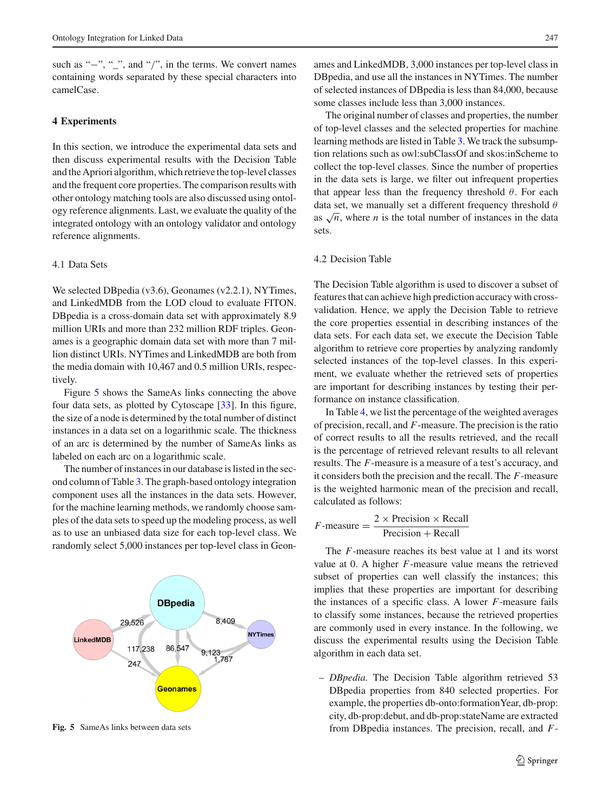such as "−", "<sub>-</sub>", and "/", in the terms. We convert names containing words separated by these special characters into camelCase.

## <span id="page-10-0"></span>**4 Experiments**

In this section, we introduce the experimental data sets and then discuss experimental results with the Decision Table and the Apriori algorithm, which retrieve the top-level classes and the frequent core properties. The comparison results with other ontology matching tools are also discussed using ontology reference alignments. Last, we evaluate the quality of the integrated ontology with an ontology validator and ontology reference alignments.

### 4.1 Data Sets

We selected DBpedia (v3.6), Geonames (v2.2.1), NYTimes, and LinkedMDB from the LOD cloud to evaluate FITON. DBpedia is a cross-domain data set with approximately 8.9 million URIs and more than 232 million RDF triples. Geonames is a geographic domain data set with more than 7 million distinct URIs. NYTimes and LinkedMDB are both from the media domain with 10,467 and 0.5 million URIs, respectively.

Figure [5](#page-10-1) shows the SameAs links connecting the above four data sets, as plotted by Cytoscape [\[33](#page-17-32)]. In this figure, the size of a node is determined by the total number of distinct instances in a data set on a logarithmic scale. The thickness of an arc is determined by the number of SameAs links as labeled on each arc on a logarithmic scale.

The number of instances in our database is listed in the second column of Table [3.](#page-11-0) The graph-based ontology integration component uses all the instances in the data sets. However, for the machine learning methods, we randomly choose samples of the data sets to speed up the modeling process, as well as to use an unbiased data size for each top-level class. We randomly select 5,000 instances per top-level class in Geon-



<span id="page-10-1"></span>**Fig. 5** SameAs links between data sets

ames and LinkedMDB, 3,000 instances per top-level class in DBpedia, and use all the instances in NYTimes. The number of selected instances of DBpedia is less than 84,000, because some classes include less than 3,000 instances.

The original number of classes and properties, the number of top-level classes and the selected properties for machine learning methods are listed in Table [3.](#page-11-0) We track the subsumption relations such as owl:subClassOf and skos:inScheme to collect the top-level classes. Since the number of properties in the data sets is large, we filter out infrequent properties that appear less than the frequency threshold  $\theta$ . For each data set, we manually set a different frequency threshold  $\theta$ as  $\sqrt{n}$ , where *n* is the total number of instances in the data sets.

#### 4.2 Decision Table

The Decision Table algorithm is used to discover a subset of features that can achieve high prediction accuracy with crossvalidation. Hence, we apply the Decision Table to retrieve the core properties essential in describing instances of the data sets. For each data set, we execute the Decision Table algorithm to retrieve core properties by analyzing randomly selected instances of the top-level classes. In this experiment, we evaluate whether the retrieved sets of properties are important for describing instances by testing their performance on instance classification.

In Table [4,](#page-11-1) we list the percentage of the weighted averages of precision, recall, and *F*-measure. The precision is the ratio of correct results to all the results retrieved, and the recall is the percentage of retrieved relevant results to all relevant results. The *F*-measure is a measure of a test's accuracy, and it considers both the precision and the recall. The *F*-measure is the weighted harmonic mean of the precision and recall, calculated as follows:

$$
F\text{-measure} = \frac{2 \times \text{Precision} \times \text{Recall}}{\text{Precision} + \text{Recall}}
$$

The *F*-measure reaches its best value at 1 and its worst value at 0. A higher *F*-measure value means the retrieved subset of properties can well classify the instances; this implies that these properties are important for describing the instances of a specific class. A lower *F*-measure fails to classify some instances, because the retrieved properties are commonly used in every instance. In the following, we discuss the experimental results using the Decision Table algorithm in each data set.

– *DBpedia.* The Decision Table algorithm retrieved 53 DBpedia properties from 840 selected properties. For example, the properties db-onto:formationYear, db-prop: city, db-prop:debut, and db-prop:stateName are extracted from DBpedia instances. The precision, recall, and *F*-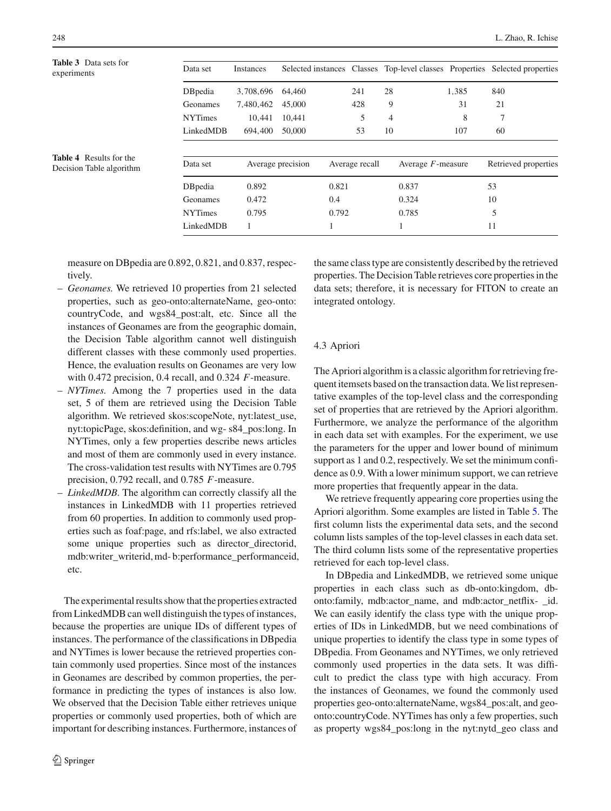<span id="page-11-1"></span><span id="page-11-0"></span>

| <b>Table 3</b> Data sets for<br>experiments | Data set       | Instances |                   |                |    |                      |       | Selected instances Classes Top-level classes Properties Selected properties |
|---------------------------------------------|----------------|-----------|-------------------|----------------|----|----------------------|-------|-----------------------------------------------------------------------------|
|                                             | DBpedia        | 3,708,696 | 64.460            | 241            | 28 |                      | 1,385 | 840                                                                         |
|                                             | Geonames       | 7,480,462 | 45,000            | 428            | 9  |                      | 31    | 21                                                                          |
|                                             | <b>NYTimes</b> | 10,441    | 10,441            | 5              | 4  |                      | 8     |                                                                             |
|                                             | LinkedMDB      | 694,400   | 50,000            | 53             | 10 |                      | 107   | 60                                                                          |
| <b>Table 4</b> Results for the              |                |           |                   |                |    |                      |       |                                                                             |
| Decision Table algorithm                    | Data set       |           | Average precision | Average recall |    | Average $F$ -measure |       | Retrieved properties                                                        |
|                                             | DBpedia        | 0.892     |                   | 0.821          |    | 0.837                |       | 53                                                                          |
|                                             | Geonames       | 0.472     |                   | 0.4            |    | 0.324                |       | 10                                                                          |
|                                             | <b>NYTimes</b> | 0.795     |                   | 0.792          |    | 0.785                |       | 5                                                                           |
|                                             | LinkedMDB      |           |                   |                |    |                      |       | 11                                                                          |

measure on DBpedia are 0.892, 0.821, and 0.837, respectively.

- *Geonames.* We retrieved 10 properties from 21 selected properties, such as geo-onto:alternateName, geo-onto: countryCode, and wgs84\_post:alt, etc. Since all the instances of Geonames are from the geographic domain, the Decision Table algorithm cannot well distinguish different classes with these commonly used properties. Hence, the evaluation results on Geonames are very low with 0.472 precision, 0.4 recall, and 0.324 *F*-measure.
- *NYTimes.* Among the 7 properties used in the data set, 5 of them are retrieved using the Decision Table algorithm. We retrieved skos:scopeNote, nyt:latest\_use, nyt:topicPage, skos:definition, and wg- s84\_pos:long. In NYTimes, only a few properties describe news articles and most of them are commonly used in every instance. The cross-validation test results with NYTimes are 0.795 precision, 0.792 recall, and 0.785 *F*-measure.
- *LinkedMDB.* The algorithm can correctly classify all the instances in LinkedMDB with 11 properties retrieved from 60 properties. In addition to commonly used properties such as foaf:page, and rfs:label, we also extracted some unique properties such as director\_directorid, mdb:writer\_writerid, md- b:performance\_performanceid, etc.

The experimental results show that the properties extracted from LinkedMDB can well distinguish the types of instances, because the properties are unique IDs of different types of instances. The performance of the classifications in DBpedia and NYTimes is lower because the retrieved properties contain commonly used properties. Since most of the instances in Geonames are described by common properties, the performance in predicting the types of instances is also low. We observed that the Decision Table either retrieves unique properties or commonly used properties, both of which are important for describing instances. Furthermore, instances of the same class type are consistently described by the retrieved properties. The Decision Table retrieves core properties in the data sets; therefore, it is necessary for FITON to create an integrated ontology.

## 4.3 Apriori

The Apriori algorithm is a classic algorithm for retrieving frequent itemsets based on the transaction data.We list representative examples of the top-level class and the corresponding set of properties that are retrieved by the Apriori algorithm. Furthermore, we analyze the performance of the algorithm in each data set with examples. For the experiment, we use the parameters for the upper and lower bound of minimum support as 1 and 0.2, respectively. We set the minimum confidence as 0.9. With a lower minimum support, we can retrieve more properties that frequently appear in the data.

We retrieve frequently appearing core properties using the Apriori algorithm. Some examples are listed in Table [5.](#page-12-0) The first column lists the experimental data sets, and the second column lists samples of the top-level classes in each data set. The third column lists some of the representative properties retrieved for each top-level class.

In DBpedia and LinkedMDB, we retrieved some unique properties in each class such as db-onto:kingdom, dbonto:family, mdb:actor\_name, and mdb:actor\_netflix- \_id. We can easily identify the class type with the unique properties of IDs in LinkedMDB, but we need combinations of unique properties to identify the class type in some types of DBpedia. From Geonames and NYTimes, we only retrieved commonly used properties in the data sets. It was difficult to predict the class type with high accuracy. From the instances of Geonames, we found the commonly used properties geo-onto:alternateName, wgs84\_pos:alt, and geoonto:countryCode. NYTimes has only a few properties, such as property wgs84\_pos:long in the nyt:nytd\_geo class and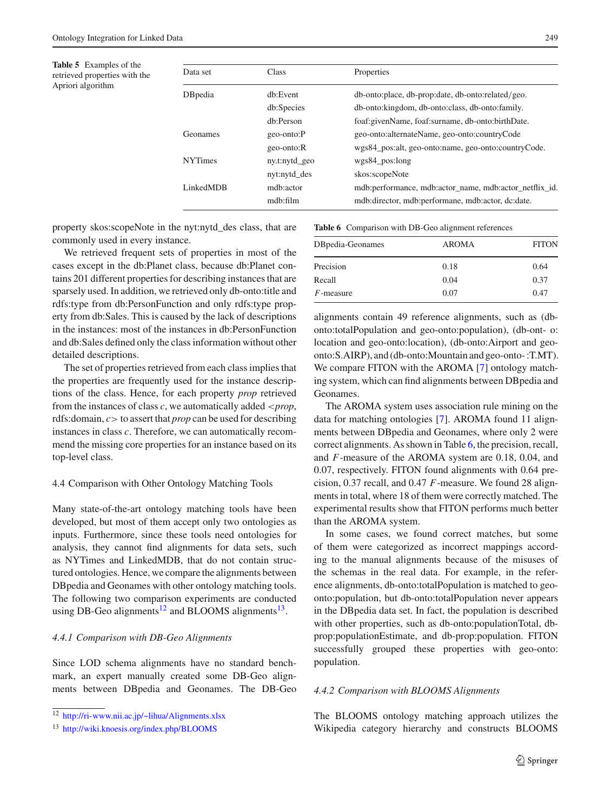<span id="page-12-0"></span>**Table 5** Examples of the retrieved properties with the Apriori algorithm

| Data set       | <b>Class</b>  | Properties                                             |
|----------------|---------------|--------------------------------------------------------|
| DBpedia        | dh:Event      | db-onto:place, db-prop:date, db-onto:related/geo.      |
|                | db:Species    | db-onto: kingdom, db-onto: class, db-onto: family.     |
|                | db:Person     | foaf:givenName, foaf:surname, db-onto:birthDate.       |
| Geonames       | geo-onto:P    | geo-onto:alternateName, geo-onto:countryCode           |
|                | geo-onto:R    | wgs84 pos:alt, geo-onto:name, geo-onto:countryCode.    |
| <b>NYTimes</b> | ny.t:nytd_geo | $wgs84_pos:long$                                       |
|                | nyt:nytd_des  | skos:scopeNote                                         |
| LinkedMDB      | mdb:actor     | mdb:performance, mdb:actor name, mdb:actor netflix id. |
|                | mdh:film      | mdb:director, mdb:performane, mdb:actor, dc:date.      |

property skos:scopeNote in the nyt:nytd\_des class, that are commonly used in every instance.

We retrieved frequent sets of properties in most of the cases except in the db:Planet class, because db:Planet contains 201 different properties for describing instances that are sparsely used. In addition, we retrieved only db-onto:title and rdfs:type from db:PersonFunction and only rdfs:type property from db:Sales. This is caused by the lack of descriptions in the instances: most of the instances in db:PersonFunction and db:Sales defined only the class information without other detailed descriptions.

The set of properties retrieved from each class implies that the properties are frequently used for the instance descriptions of the class. Hence, for each property *prop* retrieved from the instances of class *c*, we automatically added <*prop*, rdfs:domain, *c*> to assert that *prop* can be used for describing instances in class *c*. Therefore, we can automatically recommend the missing core properties for an instance based on its top-level class.

### 4.4 Comparison with Other Ontology Matching Tools

Many state-of-the-art ontology matching tools have been developed, but most of them accept only two ontologies as inputs. Furthermore, since these tools need ontologies for analysis, they cannot find alignments for data sets, such as NYTimes and LinkedMDB, that do not contain structured ontologies. Hence, we compare the alignments between DBpedia and Geonames with other ontology matching tools. The following two comparison experiments are conducted using DB-Geo alignments<sup>12</sup> and BLOOMS alignments<sup>[13](#page-12-2)</sup>.

## *4.4.1 Comparison with DB-Geo Alignments*

Since LOD schema alignments have no standard benchmark, an expert manually created some DB-Geo alignments between DBpedia and Geonames. The DB-Geo **Table 6** Comparison with DB-Geo alignment references

<span id="page-12-3"></span>

| DBpedia-Geonames | <b>AROMA</b> | <b>FITON</b> |
|------------------|--------------|--------------|
| Precision        | 0.18         | 0.64         |
| Recall           | 0.04         | 0.37         |
| $F$ -measure     | 0.07         | 0.47         |
|                  |              |              |

alignments contain 49 reference alignments, such as (dbonto:totalPopulation and geo-onto:population), (db-ont- o: location and geo-onto:location), (db-onto:Airport and geoonto:S.AIRP), and (db-onto:Mountain and geo-onto- :T.MT). We compare FITON with the AROMA [\[7\]](#page-17-33) ontology matching system, which can find alignments between DBpedia and Geonames.

The AROMA system uses association rule mining on the data for matching ontologies [\[7](#page-17-33)]. AROMA found 11 alignments between DBpedia and Geonames, where only 2 were correct alignments. As shown in Table [6,](#page-12-3) the precision, recall, and *F*-measure of the AROMA system are 0.18, 0.04, and 0.07, respectively. FITON found alignments with 0.64 precision, 0.37 recall, and 0.47 *F*-measure. We found 28 alignments in total, where 18 of them were correctly matched. The experimental results show that FITON performs much better than the AROMA system.

In some cases, we found correct matches, but some of them were categorized as incorrect mappings according to the manual alignments because of the misuses of the schemas in the real data. For example, in the reference alignments, db-onto:totalPopulation is matched to geoonto:population, but db-onto:totalPopulation never appears in the DBpedia data set. In fact, the population is described with other properties, such as db-onto:populationTotal, dbprop:populationEstimate, and db-prop:population. FITON successfully grouped these properties with geo-onto: population.

## *4.4.2 Comparison with BLOOMS Alignments*

The BLOOMS ontology matching approach utilizes the Wikipedia category hierarchy and constructs BLOOMS

<sup>12</sup> <http://ri-www.nii.ac.jp/~lihua/Alignments.xlsx>

<span id="page-12-2"></span><span id="page-12-1"></span><sup>13</sup> <http://wiki.knoesis.org/index.php/BLOOMS>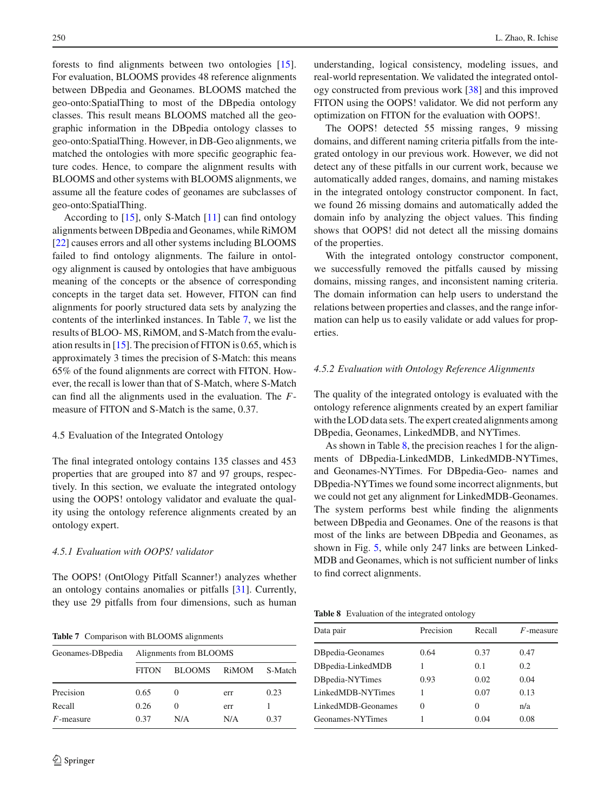forests to find alignments between two ontologies [\[15](#page-17-34)]. For evaluation, BLOOMS provides 48 reference alignments between DBpedia and Geonames. BLOOMS matched the geo-onto:SpatialThing to most of the DBpedia ontology classes. This result means BLOOMS matched all the geographic information in the DBpedia ontology classes to geo-onto:SpatialThing. However, in DB-Geo alignments, we matched the ontologies with more specific geographic feature codes. Hence, to compare the alignment results with BLOOMS and other systems with BLOOMS alignments, we assume all the feature codes of geonames are subclasses of geo-onto:SpatialThing.

According to [\[15\]](#page-17-34), only S-Match [\[11\]](#page-17-35) can find ontology alignments between DBpedia and Geonames, while RiMOM [\[22](#page-17-36)] causes errors and all other systems including BLOOMS failed to find ontology alignments. The failure in ontology alignment is caused by ontologies that have ambiguous meaning of the concepts or the absence of corresponding concepts in the target data set. However, FITON can find alignments for poorly structured data sets by analyzing the contents of the interlinked instances. In Table [7,](#page-13-0) we list the results of BLOO- MS, RiMOM, and S-Match from the evaluation results in  $[15]$ . The precision of FITON is 0.65, which is approximately 3 times the precision of S-Match: this means 65% of the found alignments are correct with FITON. However, the recall is lower than that of S-Match, where S-Match can find all the alignments used in the evaluation. The *F*measure of FITON and S-Match is the same, 0.37.

## 4.5 Evaluation of the Integrated Ontology

The final integrated ontology contains 135 classes and 453 properties that are grouped into 87 and 97 groups, respectively. In this section, we evaluate the integrated ontology using the OOPS! ontology validator and evaluate the quality using the ontology reference alignments created by an ontology expert.

#### *4.5.1 Evaluation with OOPS! validator*

The OOPS! (OntOlogy Pitfall Scanner!) analyzes whether an ontology contains anomalies or pitfalls [\[31\]](#page-17-31). Currently, they use 29 pitfalls from four dimensions, such as human

**Table 7** Comparison with BLOOMS alignments

<span id="page-13-0"></span>

| Geonames-DB pedia | Alignments from BLOOMS |                   |       |         |
|-------------------|------------------------|-------------------|-------|---------|
|                   | <b>FITON</b>           | <b>BLOOMS</b>     | RiMOM | S-Match |
| Precision         | 0.65                   | $\mathbf{\Omega}$ | err   | 0.23    |
| Recall            | 0.26                   | $\mathbf{0}$      | err   |         |
| $F$ -measure      | 0.37                   | N/A               | N/A   | 0.37    |

understanding, logical consistency, modeling issues, and real-world representation. We validated the integrated ontology constructed from previous work [\[38\]](#page-17-11) and this improved FITON using the OOPS! validator. We did not perform any optimization on FITON for the evaluation with OOPS!.

The OOPS! detected 55 missing ranges, 9 missing domains, and different naming criteria pitfalls from the integrated ontology in our previous work. However, we did not detect any of these pitfalls in our current work, because we automatically added ranges, domains, and naming mistakes in the integrated ontology constructor component. In fact, we found 26 missing domains and automatically added the domain info by analyzing the object values. This finding shows that OOPS! did not detect all the missing domains of the properties.

With the integrated ontology constructor component, we successfully removed the pitfalls caused by missing domains, missing ranges, and inconsistent naming criteria. The domain information can help users to understand the relations between properties and classes, and the range information can help us to easily validate or add values for properties.

#### *4.5.2 Evaluation with Ontology Reference Alignments*

The quality of the integrated ontology is evaluated with the ontology reference alignments created by an expert familiar with the LOD data sets. The expert created alignments among DBpedia, Geonames, LinkedMDB, and NYTimes.

As shown in Table [8,](#page-13-1) the precision reaches 1 for the alignments of DBpedia-LinkedMDB, LinkedMDB-NYTimes, and Geonames-NYTimes. For DBpedia-Geo- names and DBpedia-NYTimes we found some incorrect alignments, but we could not get any alignment for LinkedMDB-Geonames. The system performs best while finding the alignments between DBpedia and Geonames. One of the reasons is that most of the links are between DBpedia and Geonames, as shown in Fig. [5,](#page-10-1) while only 247 links are between Linked-MDB and Geonames, which is not sufficient number of links to find correct alignments.

**Table 8** Evaluation of the integrated ontology

<span id="page-13-1"></span>

| Data pair          | Precision | Recall   | $F$ -measure |
|--------------------|-----------|----------|--------------|
| DBpedia-Geonames   | 0.64      | 0.37     | 0.47         |
| DBpedia-LinkedMDB  |           | 0.1      | 0.2          |
| DBpedia-NYTimes    | 0.93      | 0.02     | 0.04         |
| LinkedMDB-NYTimes  |           | 0.07     | 0.13         |
| LinkedMDB-Geonames | $\theta$  | $\Omega$ | n/a          |
| Geonames-NYTimes   |           | 0.04     | 0.08         |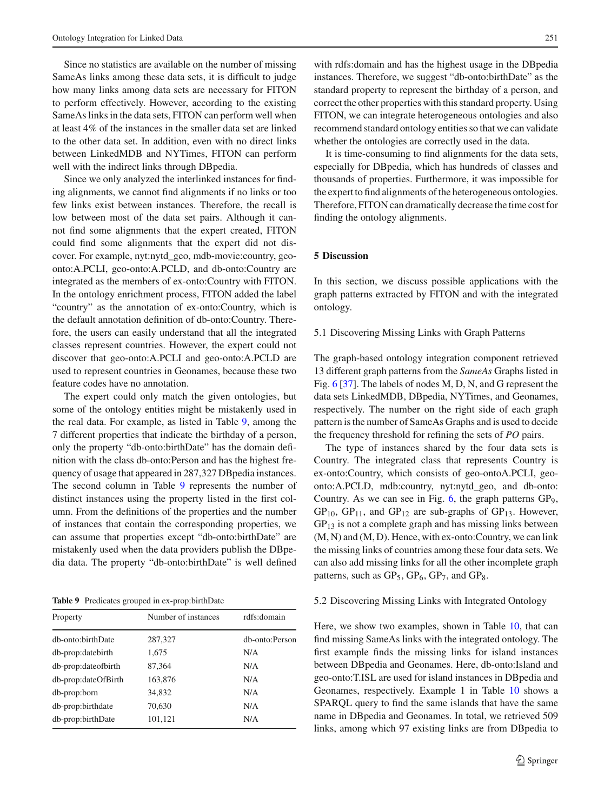Since no statistics are available on the number of missing SameAs links among these data sets, it is difficult to judge how many links among data sets are necessary for FITON to perform effectively. However, according to the existing SameAs links in the data sets, FITON can perform well when at least 4% of the instances in the smaller data set are linked to the other data set. In addition, even with no direct links between LinkedMDB and NYTimes, FITON can perform well with the indirect links through DBpedia.

Since we only analyzed the interlinked instances for finding alignments, we cannot find alignments if no links or too few links exist between instances. Therefore, the recall is low between most of the data set pairs. Although it cannot find some alignments that the expert created, FITON could find some alignments that the expert did not discover. For example, nyt:nytd\_geo, mdb-movie:country, geoonto:A.PCLI, geo-onto:A.PCLD, and db-onto:Country are integrated as the members of ex-onto:Country with FITON. In the ontology enrichment process, FITON added the label "country" as the annotation of ex-onto:Country, which is the default annotation definition of db-onto:Country. Therefore, the users can easily understand that all the integrated classes represent countries. However, the expert could not discover that geo-onto:A.PCLI and geo-onto:A.PCLD are used to represent countries in Geonames, because these two feature codes have no annotation.

The expert could only match the given ontologies, but some of the ontology entities might be mistakenly used in the real data. For example, as listed in Table [9,](#page-14-1) among the 7 different properties that indicate the birthday of a person, only the property "db-onto:birthDate" has the domain definition with the class db-onto:Person and has the highest frequency of usage that appeared in 287,327 DBpedia instances. The second column in Table [9](#page-14-1) represents the number of distinct instances using the property listed in the first column. From the definitions of the properties and the number of instances that contain the corresponding properties, we can assume that properties except "db-onto:birthDate" are mistakenly used when the data providers publish the DBpedia data. The property "db-onto:birthDate" is well defined

**Table 9** Predicates grouped in ex-prop:birthDate

<span id="page-14-1"></span>

| Property            | Number of instances | rdfs:domain    |
|---------------------|---------------------|----------------|
| db-onto:birthDate   | 287,327             | db-onto:Person |
| db-prop:datebirth   | 1,675               | N/A            |
| db-prop:dateofbirth | 87,364              | N/A            |
| db-prop:dateOfBirth | 163,876             | N/A            |
| db-prop:born        | 34,832              | N/A            |
| db-prop:birthdate   | 70,630              | N/A            |
| db-prop:birthDate   | 101,121             | N/A            |

with rdfs:domain and has the highest usage in the DBpedia instances. Therefore, we suggest "db-onto:birthDate" as the standard property to represent the birthday of a person, and correct the other properties with this standard property. Using FITON, we can integrate heterogeneous ontologies and also recommend standard ontology entities so that we can validate whether the ontologies are correctly used in the data.

It is time-consuming to find alignments for the data sets, especially for DBpedia, which has hundreds of classes and thousands of properties. Furthermore, it was impossible for the expert to find alignments of the heterogeneous ontologies. Therefore, FITON can dramatically decrease the time cost for finding the ontology alignments.

## <span id="page-14-0"></span>**5 Discussion**

In this section, we discuss possible applications with the graph patterns extracted by FITON and with the integrated ontology.

#### 5.1 Discovering Missing Links with Graph Patterns

The graph-based ontology integration component retrieved 13 different graph patterns from the *SameAs* Graphs listed in Fig. [6](#page-15-0) [\[37](#page-17-17)]. The labels of nodes M, D, N, and G represent the data sets LinkedMDB, DBpedia, NYTimes, and Geonames, respectively. The number on the right side of each graph pattern is the number of SameAs Graphs and is used to decide the frequency threshold for refining the sets of *PO* pairs.

The type of instances shared by the four data sets is Country. The integrated class that represents Country is ex-onto:Country, which consists of geo-ontoA.PCLI, geoonto:A.PCLD, mdb:country, nyt:nytd\_geo, and db-onto: Country. As we can see in Fig.  $6$ , the graph patterns  $GP<sub>9</sub>$ ,  $GP_{10}$ ,  $GP_{11}$ , and  $GP_{12}$  are sub-graphs of  $GP_{13}$ . However,  $GP<sub>13</sub>$  is not a complete graph and has missing links between (M, N) and (M, D). Hence, with ex-onto:Country, we can link the missing links of countries among these four data sets. We can also add missing links for all the other incomplete graph patterns, such as  $GP_5$ ,  $GP_6$ ,  $GP_7$ , and  $GP_8$ .

#### 5.2 Discovering Missing Links with Integrated Ontology

Here, we show two examples, shown in Table [10,](#page-15-1) that can find missing SameAs links with the integrated ontology. The first example finds the missing links for island instances between DBpedia and Geonames. Here, db-onto:Island and geo-onto:T.ISL are used for island instances in DBpedia and Geonames, respectively. Example 1 in Table [10](#page-15-1) shows a SPARQL query to find the same islands that have the same name in DBpedia and Geonames. In total, we retrieved 509 links, among which 97 existing links are from DBpedia to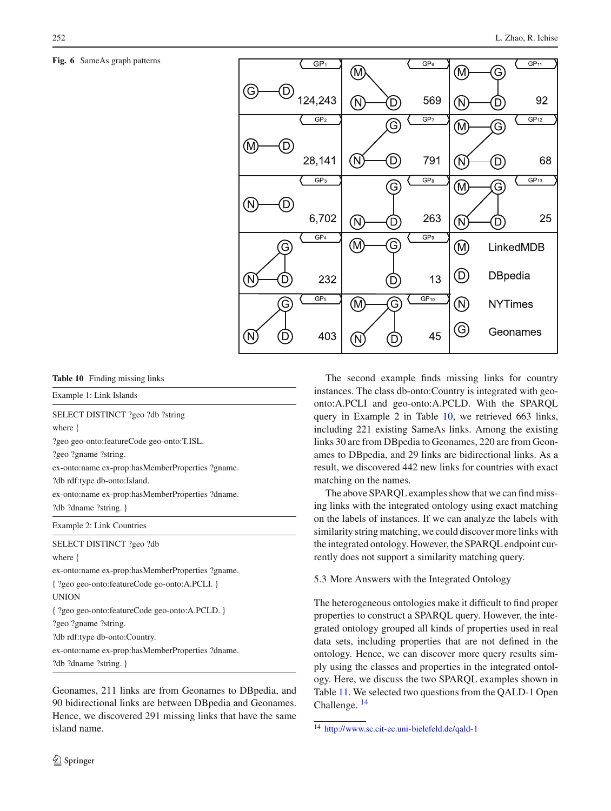## <span id="page-15-0"></span>**Fig. 6** SameAs graph patterns



**Table 10** Finding missing links

<span id="page-15-1"></span>Example 1: Link Islands

SELECT DISTINCT ?geo ?db ?string where { ?geo geo-onto:featureCode geo-onto:T.ISL.

?geo ?gname ?string.

ex-onto:name ex-prop:hasMemberProperties ?gname.

?db rdf:type db-onto:Island.

ex-onto:name ex-prop:hasMemberProperties ?dname. ?db ?dname ?string. }

Example 2: Link Countries

SELECT DISTINCT ?geo ?db

where {

ex-onto:name ex-prop:hasMemberProperties ?gname. { ?geo geo-onto:featureCode go-onto:A.PCLI. } UNION { ?geo geo-onto:featureCode geo-onto:A.PCLD. } ?geo ?gname ?string. ?db rdf:type db-onto:Country. ex-onto:name ex-prop:hasMemberProperties ?dname. ?db ?dname ?string. }

Geonames, 211 links are from Geonames to DBpedia, and 90 bidirectional links are between DBpedia and Geonames. Hence, we discovered 291 missing links that have the same island name.

The second example finds missing links for country instances. The class db-onto:Country is integrated with geoonto:A.PCLI and geo-onto:A.PCLD. With the SPARQL query in Example 2 in Table [10,](#page-15-1) we retrieved 663 links, including 221 existing SameAs links. Among the existing links 30 are from DBpedia to Geonames, 220 are from Geonames to DBpedia, and 29 links are bidirectional links. As a result, we discovered 442 new links for countries with exact matching on the names.

The above SPARQL examples show that we can find missing links with the integrated ontology using exact matching on the labels of instances. If we can analyze the labels with similarity string matching, we could discover more links with the integrated ontology. However, the SPARQL endpoint currently does not support a similarity matching query.

5.3 More Answers with the Integrated Ontology

The heterogeneous ontologies make it difficult to find proper properties to construct a SPARQL query. However, the integrated ontology grouped all kinds of properties used in real data sets, including properties that are not defined in the ontology. Hence, we can discover more query results simply using the classes and properties in the integrated ontology. Here, we discuss the two SPARQL examples shown in Table [11.](#page-16-2) We selected two questions from the QALD-1 Open Challenge. [14](#page-15-2)

<span id="page-15-2"></span><sup>14</sup> <http://www.sc.cit-ec.uni-bielefeld.de/qald-1>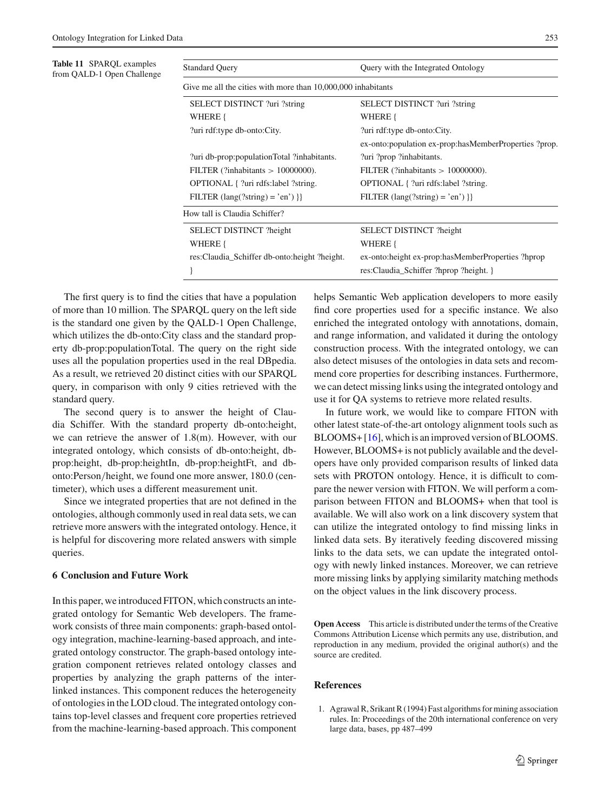<span id="page-16-2"></span>

| <b>Table 11 SPARQL examples</b><br>from QALD-1 Open Challenge | <b>Standard Query</b>                                        | Query with the Integrated Ontology                         |  |  |
|---------------------------------------------------------------|--------------------------------------------------------------|------------------------------------------------------------|--|--|
|                                                               | Give me all the cities with more than 10,000,000 inhabitants |                                                            |  |  |
|                                                               | SELECT DISTINCT ?uri ?string                                 | SELECT DISTINCT ?uri ?string                               |  |  |
|                                                               | WHERE {                                                      | WHERE {                                                    |  |  |
|                                                               | ?uri rdf:type db-onto:City.                                  | ?uri rdf:type db-onto:City.                                |  |  |
|                                                               |                                                              | ex-onto: population ex-prop: has Member Properties ? prop. |  |  |
|                                                               | ?uri db-prop: population Total?inhabitants.                  | ?uri ?prop ?inhabitants.                                   |  |  |
|                                                               | FILTER (?inhabitants $> 10000000$ ).                         | FILTER (?inhabitants $> 10000000$ ).                       |  |  |
|                                                               | OPTIONAL { ?uri rdfs:label ?string.                          | OPTIONAL { ?uri rdfs:label ?string.                        |  |  |
|                                                               | FILTER $(\text{lang}(?string) = 'en')$ }                     | FILTER $(\text{lang}(?string) = 'en')$ }                   |  |  |
|                                                               | How tall is Claudia Schiffer?                                |                                                            |  |  |
|                                                               | SELECT DISTINCT ?height                                      | SELECT DISTINCT ?height                                    |  |  |
|                                                               | WHERE {                                                      | WHERE {                                                    |  |  |
|                                                               | res:Claudia_Schiffer db-onto:height ?height.                 | ex-onto: height ex-prop: has Member Properties ?hprop      |  |  |
|                                                               |                                                              | res: Claudia_Schiffer ?hprop ?height. }                    |  |  |

The first query is to find the cities that have a population of more than 10 million. The SPARQL query on the left side is the standard one given by the QALD-1 Open Challenge, which utilizes the db-onto:City class and the standard property db-prop:populationTotal. The query on the right side uses all the population properties used in the real DBpedia. As a result, we retrieved 20 distinct cities with our SPARQL query, in comparison with only 9 cities retrieved with the standard query.

The second query is to answer the height of Claudia Schiffer. With the standard property db-onto:height, we can retrieve the answer of 1.8(m). However, with our integrated ontology, which consists of db-onto:height, dbprop:height, db-prop:heightIn, db-prop:heightFt, and dbonto:Person/height, we found one more answer, 180.0 (centimeter), which uses a different measurement unit.

Since we integrated properties that are not defined in the ontologies, although commonly used in real data sets, we can retrieve more answers with the integrated ontology. Hence, it is helpful for discovering more related answers with simple queries.

## <span id="page-16-1"></span>**6 Conclusion and Future Work**

In this paper, we introduced FITON, which constructs an integrated ontology for Semantic Web developers. The framework consists of three main components: graph-based ontology integration, machine-learning-based approach, and integrated ontology constructor. The graph-based ontology integration component retrieves related ontology classes and properties by analyzing the graph patterns of the interlinked instances. This component reduces the heterogeneity of ontologies in the LOD cloud. The integrated ontology contains top-level classes and frequent core properties retrieved from the machine-learning-based approach. This component helps Semantic Web application developers to more easily find core properties used for a specific instance. We also enriched the integrated ontology with annotations, domain, and range information, and validated it during the ontology construction process. With the integrated ontology, we can also detect misuses of the ontologies in data sets and recommend core properties for describing instances. Furthermore, we can detect missing links using the integrated ontology and use it for QA systems to retrieve more related results.

In future work, we would like to compare FITON with other latest state-of-the-art ontology alignment tools such as BLOOMS+ [\[16](#page-17-37)], which is an improved version of BLOOMS. However, BLOOMS+ is not publicly available and the developers have only provided comparison results of linked data sets with PROTON ontology. Hence, it is difficult to compare the newer version with FITON. We will perform a comparison between FITON and BLOOMS+ when that tool is available. We will also work on a link discovery system that can utilize the integrated ontology to find missing links in linked data sets. By iteratively feeding discovered missing links to the data sets, we can update the integrated ontology with newly linked instances. Moreover, we can retrieve more missing links by applying similarity matching methods on the object values in the link discovery process.

**Open Access** This article is distributed under the terms of the Creative Commons Attribution License which permits any use, distribution, and reproduction in any medium, provided the original author(s) and the source are credited.

#### **References**

<span id="page-16-0"></span>1. Agrawal R, Srikant R (1994) Fast algorithms for mining association rules. In: Proceedings of the 20th international conference on very large data, bases, pp 487–499